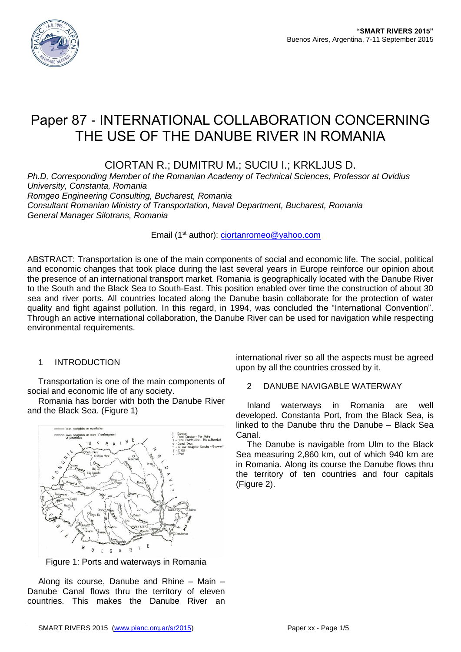

# Paper 87 - INTERNATIONAL COLLABORATION CONCERNING THE USE OF THE DANUBE RIVER IN ROMANIA

CIORTAN R.; DUMITRU M.; SUCIU I.; KRKLJUS D.

*Ph.D, Corresponding Member of the Romanian Academy of Technical Sciences, Professor at Ovidius University, Constanta, Romania*

*Romgeo Engineering Consulting, Bucharest, Romania*

*Consultant Romanian Ministry of Transportation, Naval Department, Bucharest, Romania General Manager Silotrans, Romania*

Email (1<sup>st</sup> author): [ciortanromeo@yahoo.com](mailto:ciortanromeo@yahoo.com)

ABSTRACT: Transportation is one of the main components of social and economic life. The social, political and economic changes that took place during the last several years in Europe reinforce our opinion about the presence of an international transport market. Romania is geographically located with the Danube River to the South and the Black Sea to South-East. This position enabled over time the construction of about 30 sea and river ports. All countries located along the Danube basin collaborate for the protection of water quality and fight against pollution. In this regard, in 1994, was concluded the "International Convention". Through an active international collaboration, the Danube River can be used for navigation while respecting environmental requirements.

# 1 INTRODUCTION

Transportation is one of the main components of social and economic life of any society.

Romania has border with both the Danube River and the Black Sea. (Figure 1)



Figure 1: Ports and waterways in Romania

Along its course, Danube and Rhine – Main – Danube Canal flows thru the territory of eleven countries. This makes the Danube River an

international river so all the aspects must be agreed upon by all the countries crossed by it.

## 2 DANUBE NAVIGABLE WATERWAY

Inland waterways in Romania are well developed. Constanta Port, from the Black Sea, is linked to the Danube thru the Danube – Black Sea Canal.

The Danube is navigable from Ulm to the Black Sea measuring 2,860 km, out of which 940 km are in Romania. Along its course the Danube flows thru the territory of ten countries and four capitals (Figure 2).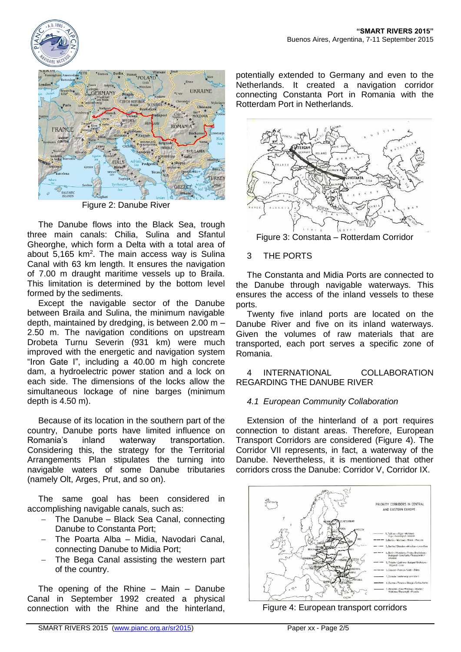



Figure 2: Danube River

The Danube flows into the Black Sea, trough three main canals: Chilia, Sulina and Sfantul Gheorghe, which form a Delta with a total area of about  $5,165$  km<sup>2</sup>. The main access way is Sulina Canal with 63 km length. It ensures the navigation of 7.00 m draught maritime vessels up to Braila. This limitation is determined by the bottom level formed by the sediments.

Except the navigable sector of the Danube between Braila and Sulina, the minimum navigable depth, maintained by dredging, is between 2.00 m – 2.50 m. The navigation conditions on upstream Drobeta Turnu Severin (931 km) were much improved with the energetic and navigation system "Iron Gate I", including a 40.00 m high concrete dam, a hydroelectric power station and a lock on each side. The dimensions of the locks allow the simultaneous lockage of nine barges (minimum depth is 4.50 m).

Because of its location in the southern part of the country, Danube ports have limited influence on Romania's inland waterway transportation. Considering this, the strategy for the Territorial Arrangements Plan stipulates the turning into navigable waters of some Danube tributaries (namely Olt, Arges, Prut, and so on).

The same goal has been considered in accomplishing navigable canals, such as:

- The Danube Black Sea Canal, connecting Danube to Constanta Port;
- The Poarta Alba Midia, Navodari Canal, connecting Danube to Midia Port;
- The Bega Canal assisting the western part of the country.

The opening of the Rhine – Main – Danube Canal in September 1992 created a physical connection with the Rhine and the hinterland,

potentially extended to Germany and even to the Netherlands. It created a navigation corridor connecting Constanta Port in Romania with the Rotterdam Port in Netherlands.



Figure 3: Constanta – Rotterdam Corridor

# 3 THE PORTS

The Constanta and Midia Ports are connected to the Danube through navigable waterways. This ensures the access of the inland vessels to these ports.

Twenty five inland ports are located on the Danube River and five on its inland waterways. Given the volumes of raw materials that are transported, each port serves a specific zone of Romania.

## 4 INTERNATIONAL COLLABORATION REGARDING THE DANUBE RIVER

# *4.1 European Community Collaboration*

Extension of the hinterland of a port requires connection to distant areas. Therefore, European Transport Corridors are considered (Figure 4). The Corridor VII represents, in fact, a waterway of the Danube. Nevertheless, it is mentioned that other corridors cross the Danube: Corridor V, Corridor IX.



Figure 4: European transport corridors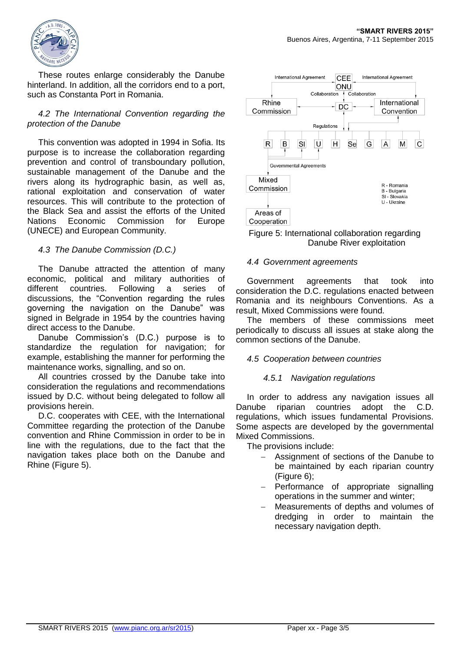

These routes enlarge considerably the Danube hinterland. In addition, all the corridors end to a port, such as Constanta Port in Romania.

## *4.2 The International Convention regarding the protection of the Danube*

This convention was adopted in 1994 in Sofia. Its purpose is to increase the collaboration regarding prevention and control of transboundary pollution, sustainable management of the Danube and the rivers along its hydrographic basin, as well as, rational exploitation and conservation of water resources. This will contribute to the protection of the Black Sea and assist the efforts of the United Nations Economic Commission for Europe (UNECE) and European Community.

## *4.3 The Danube Commission (D.C.)*

The Danube attracted the attention of many economic, political and military authorities of different countries. Following a series of discussions, the "Convention regarding the rules governing the navigation on the Danube" was signed in Belgrade in 1954 by the countries having direct access to the Danube.

Danube Commission's (D.C.) purpose is to standardize the regulation for navigation; for example, establishing the manner for performing the maintenance works, signalling, and so on.

All countries crossed by the Danube take into consideration the regulations and recommendations issued by D.C. without being delegated to follow all provisions herein.

D.C. cooperates with CEE, with the International Committee regarding the protection of the Danube convention and Rhine Commission in order to be in line with the regulations, due to the fact that the navigation takes place both on the Danube and Rhine (Figure 5).



#### Figure 5: International collaboration regarding Danube River exploitation

#### *4.4 Government agreements*

Government agreements that took into consideration the D.C. regulations enacted between Romania and its neighbours Conventions. As a result, Mixed Commissions were found.

The members of these commissions meet periodically to discuss all issues at stake along the common sections of the Danube.

## *4.5 Cooperation between countries*

## *4.5.1 Navigation regulations*

In order to address any navigation issues all Danube riparian countries adopt the C.D. regulations, which issues fundamental Provisions. Some aspects are developed by the governmental Mixed Commissions.

The provisions include:

- Assignment of sections of the Danube to be maintained by each riparian country (Figure 6);
- Performance of appropriate signalling operations in the summer and winter;
- Measurements of depths and volumes of dredging in order to maintain the necessary navigation depth.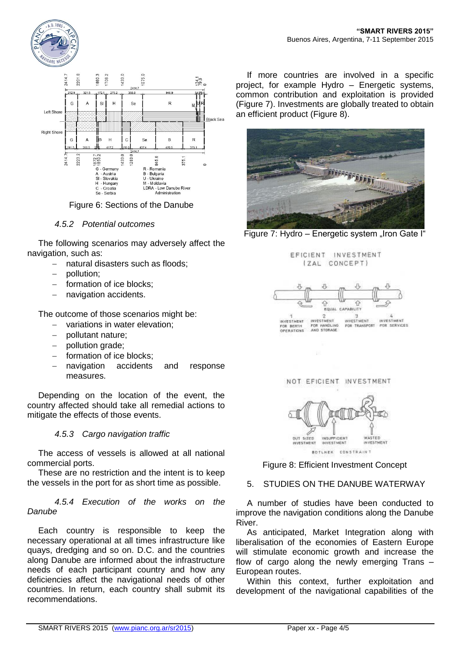





#### *4.5.2 Potential outcomes*

The following scenarios may adversely affect the navigation, such as:

- natural disasters such as floods;
- pollution;
- formation of ice blocks;
- navigation accidents.

The outcome of those scenarios might be:

- variations in water elevation;
- pollutant nature;
- pollution grade;
- formation of ice blocks;
- navigation accidents and response measures.

Depending on the location of the event, the country affected should take all remedial actions to mitigate the effects of those events.

#### *4.5.3 Cargo navigation traffic*

The access of vessels is allowed at all national commercial ports.

These are no restriction and the intent is to keep the vessels in the port for as short time as possible.

*4.5.4 Execution of the works on the Danube*

Each country is responsible to keep the necessary operational at all times infrastructure like quays, dredging and so on. D.C. and the countries along Danube are informed about the infrastructure needs of each participant country and how any deficiencies affect the navigational needs of other countries. In return, each country shall submit its recommendations.

If more countries are involved in a specific project, for example Hydro – Energetic systems, common contribution and exploitation is provided (Figure 7). Investments are globally treated to obtain an efficient product (Figure 8).









NOT EFICIENT INVESTMENT



Figure 8: Efficient Investment Concept

#### 5. STUDIES ON THE DANUBE WATERWAY

A number of studies have been conducted to improve the navigation conditions along the Danube River.

As anticipated, Market Integration along with liberalisation of the economies of Eastern Europe will stimulate economic growth and increase the flow of cargo along the newly emerging Trans – European routes.

Within this context, further exploitation and development of the navigational capabilities of the